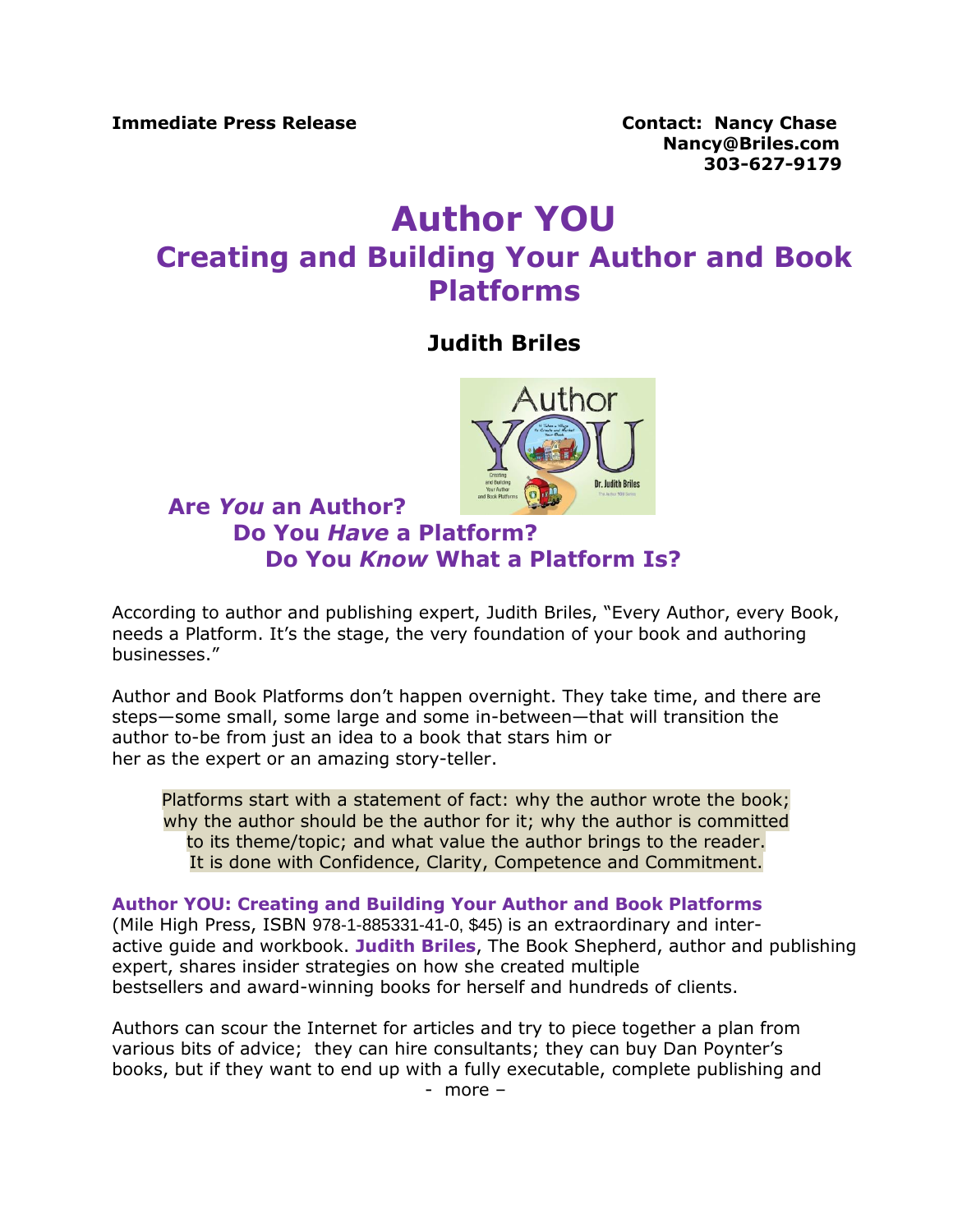**Nancy@Briles.com 303-627-9179**

## **Author YOU Creating and Building Your Author and Book Platforms**

## **Judith Briles**



## **Are** *You* **an Author? Do You** *Have* **a Platform? Do You** *Know* **What a Platform Is?**

According to author and publishing expert, Judith Briles, "Every Author, every Book, needs a Platform. It's the stage, the very foundation of your book and authoring businesses."

Author and Book Platforms don't happen overnight. They take time, and there are steps—some small, some large and some in-between—that will transition the author to-be from just an idea to a book that stars him or her as the expert or an amazing story-teller.

Platforms start with a statement of fact: why the author wrote the book; why the author should be the author for it; why the author is committed to its theme/topic; and what value the author brings to the reader. It is done with Confidence, Clarity, Competence and Commitment.

## **Author YOU: Creating and Building Your Author and Book Platforms**

(Mile High Press, ISBN 978-1-885331-41-0, \$45) is an extraordinary and interactive guide and workbook. **Judith Briles**, The Book Shepherd, author and publishing expert, shares insider strategies on how she created multiple bestsellers and award-winning books for herself and hundreds of clients.

Authors can scour the Internet for articles and try to piece together a plan from various bits of advice; they can hire consultants; they can buy Dan Poynter's books, but if they want to end up with a fully executable, complete publishing and